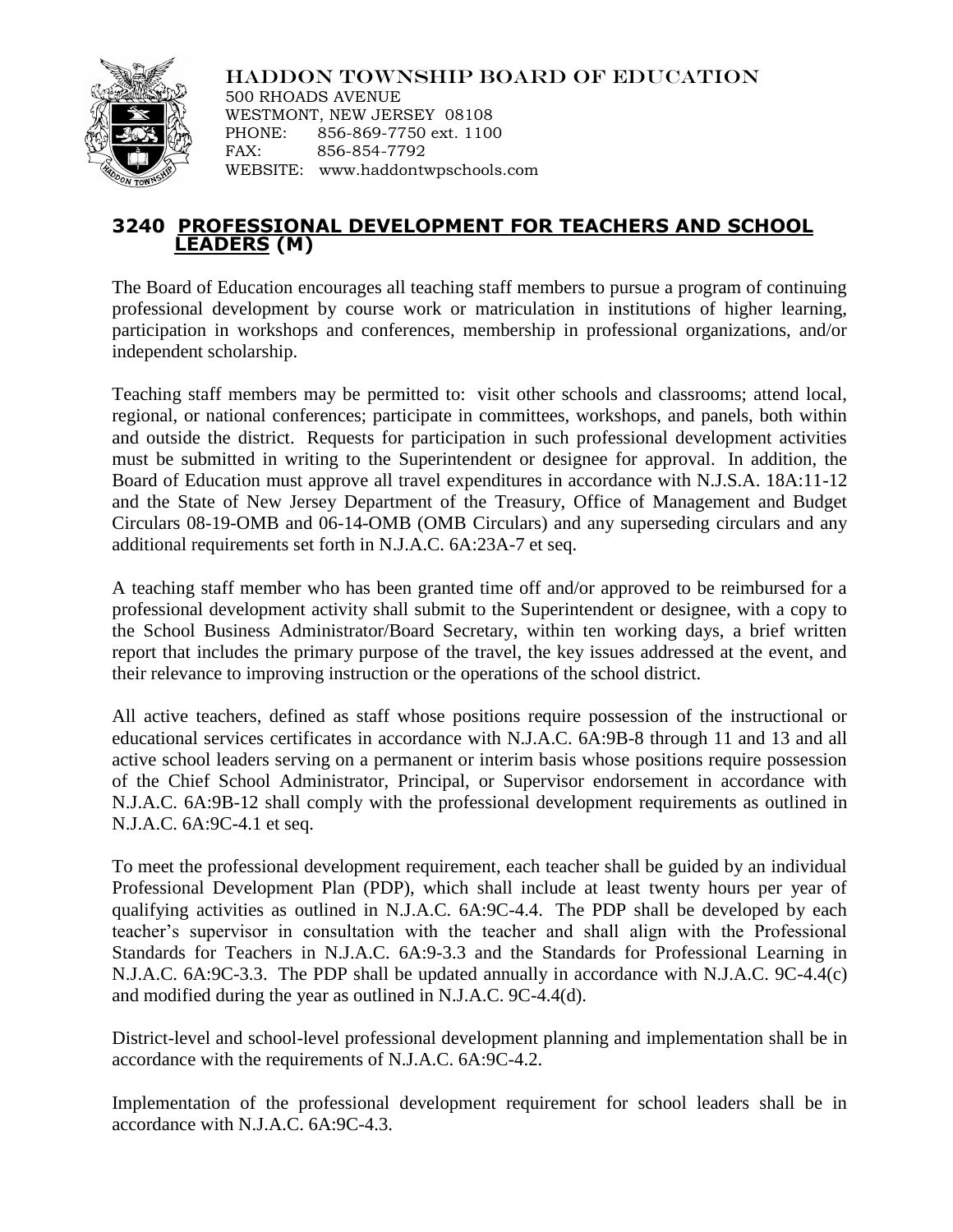

HADDON TOWNSHIP BOARD OF EDUCATION 500 RHOADS AVENUE WESTMONT, NEW JERSEY 08108 PHONE: 856-869-7750 ext. 1100 FAX: 856-854-7792 WEBSITE: www.haddontwpschools.com

## **3240 PROFESSIONAL DEVELOPMENT FOR TEACHERS AND SCHOOL LEADERS (M)**

The Board of Education encourages all teaching staff members to pursue a program of continuing professional development by course work or matriculation in institutions of higher learning, participation in workshops and conferences, membership in professional organizations, and/or independent scholarship.

Teaching staff members may be permitted to: visit other schools and classrooms; attend local, regional, or national conferences; participate in committees, workshops, and panels, both within and outside the district. Requests for participation in such professional development activities must be submitted in writing to the Superintendent or designee for approval. In addition, the Board of Education must approve all travel expenditures in accordance with N.J.S.A. 18A:11-12 and the State of New Jersey Department of the Treasury, Office of Management and Budget Circulars 08-19-OMB and 06-14-OMB (OMB Circulars) and any superseding circulars and any additional requirements set forth in N.J.A.C. 6A:23A-7 et seq.

A teaching staff member who has been granted time off and/or approved to be reimbursed for a professional development activity shall submit to the Superintendent or designee, with a copy to the School Business Administrator/Board Secretary, within ten working days, a brief written report that includes the primary purpose of the travel, the key issues addressed at the event, and their relevance to improving instruction or the operations of the school district.

All active teachers, defined as staff whose positions require possession of the instructional or educational services certificates in accordance with N.J.A.C. 6A:9B-8 through 11 and 13 and all active school leaders serving on a permanent or interim basis whose positions require possession of the Chief School Administrator, Principal, or Supervisor endorsement in accordance with N.J.A.C. 6A:9B-12 shall comply with the professional development requirements as outlined in N.J.A.C. 6A:9C-4.1 et seq.

To meet the professional development requirement, each teacher shall be guided by an individual Professional Development Plan (PDP), which shall include at least twenty hours per year of qualifying activities as outlined in N.J.A.C. 6A:9C-4.4. The PDP shall be developed by each teacher's supervisor in consultation with the teacher and shall align with the Professional Standards for Teachers in N.J.A.C. 6A:9-3.3 and the Standards for Professional Learning in N.J.A.C. 6A:9C-3.3. The PDP shall be updated annually in accordance with N.J.A.C. 9C-4.4(c) and modified during the year as outlined in N.J.A.C. 9C-4.4(d).

District-level and school-level professional development planning and implementation shall be in accordance with the requirements of N.J.A.C. 6A:9C-4.2.

Implementation of the professional development requirement for school leaders shall be in accordance with N.J.A.C. 6A:9C-4.3.